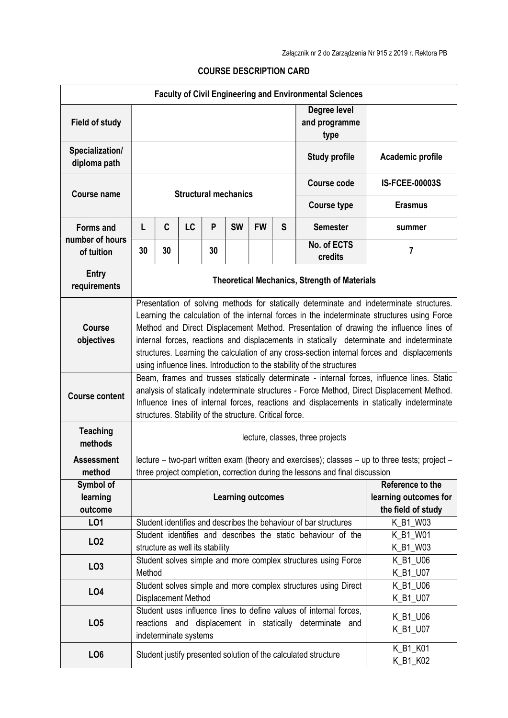## COURSE DESCRIPTION CARD

| <b>Faculty of Civil Engineering and Environmental Sciences</b> |                                                                                                                                                                                                                                                                                                                                                                                                                                                                                                                                                       |                                                                                                                                                                                                       |    |    |           |           |                                                                 |                                                                  |                       |  |
|----------------------------------------------------------------|-------------------------------------------------------------------------------------------------------------------------------------------------------------------------------------------------------------------------------------------------------------------------------------------------------------------------------------------------------------------------------------------------------------------------------------------------------------------------------------------------------------------------------------------------------|-------------------------------------------------------------------------------------------------------------------------------------------------------------------------------------------------------|----|----|-----------|-----------|-----------------------------------------------------------------|------------------------------------------------------------------|-----------------------|--|
| <b>Field of study</b>                                          |                                                                                                                                                                                                                                                                                                                                                                                                                                                                                                                                                       |                                                                                                                                                                                                       |    |    |           |           | Degree level<br>and programme<br>type                           |                                                                  |                       |  |
| Specialization/<br>diploma path                                |                                                                                                                                                                                                                                                                                                                                                                                                                                                                                                                                                       |                                                                                                                                                                                                       |    |    |           |           |                                                                 | <b>Study profile</b>                                             | Academic profile      |  |
| <b>Course name</b>                                             | <b>Structural mechanics</b>                                                                                                                                                                                                                                                                                                                                                                                                                                                                                                                           |                                                                                                                                                                                                       |    |    |           |           |                                                                 | Course code                                                      | <b>IS-FCEE-00003S</b> |  |
|                                                                |                                                                                                                                                                                                                                                                                                                                                                                                                                                                                                                                                       |                                                                                                                                                                                                       |    |    |           |           |                                                                 | <b>Course type</b>                                               | <b>Erasmus</b>        |  |
| <b>Forms and</b>                                               | L                                                                                                                                                                                                                                                                                                                                                                                                                                                                                                                                                     | C                                                                                                                                                                                                     | LC | P  | <b>SW</b> | <b>FW</b> | S                                                               | <b>Semester</b>                                                  | summer                |  |
| number of hours<br>of tuition                                  | 30                                                                                                                                                                                                                                                                                                                                                                                                                                                                                                                                                    | 30                                                                                                                                                                                                    |    | 30 |           |           |                                                                 | No. of ECTS<br>credits                                           | 7                     |  |
| <b>Entry</b><br>requirements                                   | <b>Theoretical Mechanics, Strength of Materials</b>                                                                                                                                                                                                                                                                                                                                                                                                                                                                                                   |                                                                                                                                                                                                       |    |    |           |           |                                                                 |                                                                  |                       |  |
| <b>Course</b><br>objectives                                    | Presentation of solving methods for statically determinate and indeterminate structures.<br>Learning the calculation of the internal forces in the indeterminate structures using Force<br>Method and Direct Displacement Method. Presentation of drawing the influence lines of<br>internal forces, reactions and displacements in statically determinate and indeterminate<br>structures. Learning the calculation of any cross-section internal forces and displacements<br>using influence lines. Introduction to the stability of the structures |                                                                                                                                                                                                       |    |    |           |           |                                                                 |                                                                  |                       |  |
| <b>Course content</b>                                          | Beam, frames and trusses statically determinate - internal forces, influence lines. Static<br>analysis of statically indeterminate structures - Force Method, Direct Displacement Method.<br>Influence lines of internal forces, reactions and displacements in statically indeterminate<br>structures. Stability of the structure. Critical force.                                                                                                                                                                                                   |                                                                                                                                                                                                       |    |    |           |           |                                                                 |                                                                  |                       |  |
| <b>Teaching</b><br>methods                                     | lecture, classes, three projects                                                                                                                                                                                                                                                                                                                                                                                                                                                                                                                      |                                                                                                                                                                                                       |    |    |           |           |                                                                 |                                                                  |                       |  |
| <b>Assessment</b><br>method                                    | lecture - two-part written exam (theory and exercises); classes - up to three tests; project -<br>three project completion, correction during the lessons and final discussion                                                                                                                                                                                                                                                                                                                                                                        |                                                                                                                                                                                                       |    |    |           |           |                                                                 |                                                                  |                       |  |
| Symbol of<br>learning<br>outcome                               | <b>Learning outcomes</b>                                                                                                                                                                                                                                                                                                                                                                                                                                                                                                                              |                                                                                                                                                                                                       |    |    |           |           | Reference to the<br>learning outcomes for<br>the field of study |                                                                  |                       |  |
| LO1                                                            |                                                                                                                                                                                                                                                                                                                                                                                                                                                                                                                                                       |                                                                                                                                                                                                       |    |    |           |           |                                                                 | Student identifies and describes the behaviour of bar structures | K_B1_W03              |  |
| LO <sub>2</sub>                                                |                                                                                                                                                                                                                                                                                                                                                                                                                                                                                                                                                       | structure as well its stability                                                                                                                                                                       |    |    |           |           |                                                                 | Student identifies and describes the static behaviour of the     | K_B1_W01<br>K_B1_W03  |  |
| LO <sub>3</sub>                                                | Method                                                                                                                                                                                                                                                                                                                                                                                                                                                                                                                                                |                                                                                                                                                                                                       |    |    |           |           |                                                                 | Student solves simple and more complex structures using Force    | K_B1_U06<br>K_B1_U07  |  |
| LO4                                                            |                                                                                                                                                                                                                                                                                                                                                                                                                                                                                                                                                       |                                                                                                                                                                                                       |    |    |           |           |                                                                 | Student solves simple and more complex structures using Direct   | K_B1_U06<br>K_B1_U07  |  |
| LO <sub>5</sub>                                                |                                                                                                                                                                                                                                                                                                                                                                                                                                                                                                                                                       | Displacement Method<br>Student uses influence lines to define values of internal forces.<br>K_B1_U06<br>reactions and displacement in statically determinate and<br>K_B1_U07<br>indeterminate systems |    |    |           |           |                                                                 |                                                                  |                       |  |
| LO <sub>6</sub>                                                |                                                                                                                                                                                                                                                                                                                                                                                                                                                                                                                                                       |                                                                                                                                                                                                       |    |    |           |           |                                                                 | Student justify presented solution of the calculated structure   | K_B1_K01<br>K_B1_K02  |  |